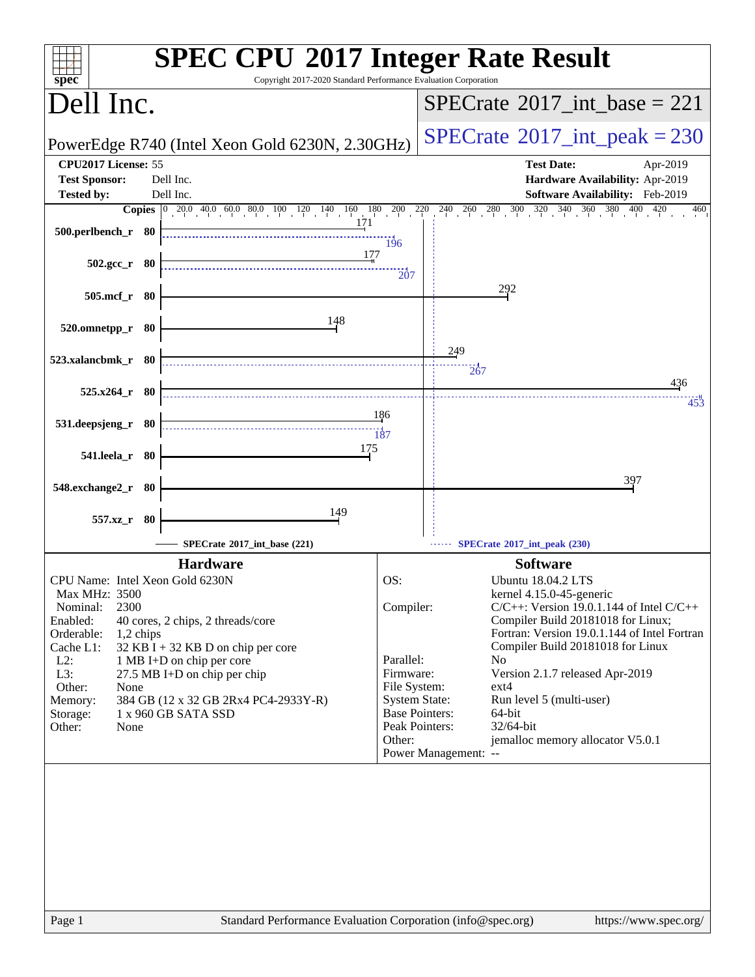| $spec^*$                                                                                                                                                                                             | <b>SPEC CPU®2017 Integer Rate Result</b><br>Copyright 2017-2020 Standard Performance Evaluation Corporation                                                                                                              |                                                                                                                |                                                                                                                                                                                                                                                                                                                                                                                                                                                    |
|------------------------------------------------------------------------------------------------------------------------------------------------------------------------------------------------------|--------------------------------------------------------------------------------------------------------------------------------------------------------------------------------------------------------------------------|----------------------------------------------------------------------------------------------------------------|----------------------------------------------------------------------------------------------------------------------------------------------------------------------------------------------------------------------------------------------------------------------------------------------------------------------------------------------------------------------------------------------------------------------------------------------------|
| Dell Inc.                                                                                                                                                                                            |                                                                                                                                                                                                                          |                                                                                                                | $SPECrate^{\circledast}2017$ int base = 221                                                                                                                                                                                                                                                                                                                                                                                                        |
|                                                                                                                                                                                                      | PowerEdge R740 (Intel Xeon Gold 6230N, 2.30GHz)                                                                                                                                                                          |                                                                                                                | $SPECrate^{\circ}2017\_int\_peak = 230$                                                                                                                                                                                                                                                                                                                                                                                                            |
| CPU2017 License: 55<br><b>Test Sponsor:</b><br><b>Tested by:</b>                                                                                                                                     | Dell Inc.<br>Dell Inc.                                                                                                                                                                                                   |                                                                                                                | <b>Test Date:</b><br>Apr-2019<br>Hardware Availability: Apr-2019<br>Software Availability: Feb-2019                                                                                                                                                                                                                                                                                                                                                |
|                                                                                                                                                                                                      |                                                                                                                                                                                                                          |                                                                                                                | <b>Copies</b> 0 20.0 40.0 60.0 80.0 100 120 140 160 180 200 220 240 260 280 300 320 340 360 380 400<br>420<br>460                                                                                                                                                                                                                                                                                                                                  |
| 500.perlbench_r 80                                                                                                                                                                                   | 171                                                                                                                                                                                                                      | 196                                                                                                            |                                                                                                                                                                                                                                                                                                                                                                                                                                                    |
| $502.\text{gcc}_r$ 80                                                                                                                                                                                | 177                                                                                                                                                                                                                      | $\overline{207}$                                                                                               |                                                                                                                                                                                                                                                                                                                                                                                                                                                    |
| 505.mcf_r 80                                                                                                                                                                                         |                                                                                                                                                                                                                          |                                                                                                                | 292                                                                                                                                                                                                                                                                                                                                                                                                                                                |
| 520.omnetpp_r 80                                                                                                                                                                                     | 148                                                                                                                                                                                                                      |                                                                                                                |                                                                                                                                                                                                                                                                                                                                                                                                                                                    |
| 523.xalancbmk_r 80                                                                                                                                                                                   |                                                                                                                                                                                                                          |                                                                                                                | 249<br>$\overline{267}$                                                                                                                                                                                                                                                                                                                                                                                                                            |
| $525.x264$ r 80                                                                                                                                                                                      |                                                                                                                                                                                                                          |                                                                                                                | 436<br>453                                                                                                                                                                                                                                                                                                                                                                                                                                         |
| 531.deepsjeng_r 80                                                                                                                                                                                   |                                                                                                                                                                                                                          | 186<br>187                                                                                                     |                                                                                                                                                                                                                                                                                                                                                                                                                                                    |
| 541.leela_r 80                                                                                                                                                                                       | 175                                                                                                                                                                                                                      |                                                                                                                |                                                                                                                                                                                                                                                                                                                                                                                                                                                    |
| 548.exchange2_r 80                                                                                                                                                                                   |                                                                                                                                                                                                                          |                                                                                                                | 397                                                                                                                                                                                                                                                                                                                                                                                                                                                |
| 557.xz_r 80                                                                                                                                                                                          | 149                                                                                                                                                                                                                      |                                                                                                                |                                                                                                                                                                                                                                                                                                                                                                                                                                                    |
|                                                                                                                                                                                                      | SPECrate®2017_int_base (221)                                                                                                                                                                                             |                                                                                                                | SPECrate®2017_int_peak (230)                                                                                                                                                                                                                                                                                                                                                                                                                       |
| CPU Name: Intel Xeon Gold 6230N<br>Max MHz: 3500<br>2300<br>Nominal:<br>Enabled:<br>Orderable:<br>1,2 chips<br>Cache L1:<br>$L2$ :<br>L3:<br>Other:<br>None<br>Memory:<br>Storage:<br>Other:<br>None | <b>Hardware</b><br>40 cores, 2 chips, 2 threads/core<br>$32$ KB I + 32 KB D on chip per core<br>1 MB I+D on chip per core<br>27.5 MB I+D on chip per chip<br>384 GB (12 x 32 GB 2Rx4 PC4-2933Y-R)<br>1 x 960 GB SATA SSD | OS:<br>Compiler:<br>Parallel:<br>Firmware:<br>File System:<br><b>System State:</b><br>Peak Pointers:<br>Other: | <b>Software</b><br>Ubuntu 18.04.2 LTS<br>kernel 4.15.0-45-generic<br>$C/C++$ : Version 19.0.1.144 of Intel $C/C++$<br>Compiler Build 20181018 for Linux;<br>Fortran: Version 19.0.1.144 of Intel Fortran<br>Compiler Build 20181018 for Linux<br>N <sub>0</sub><br>Version 2.1.7 released Apr-2019<br>ext4<br>Run level 5 (multi-user)<br><b>Base Pointers:</b><br>64-bit<br>32/64-bit<br>jemalloc memory allocator V5.0.1<br>Power Management: -- |
|                                                                                                                                                                                                      |                                                                                                                                                                                                                          |                                                                                                                |                                                                                                                                                                                                                                                                                                                                                                                                                                                    |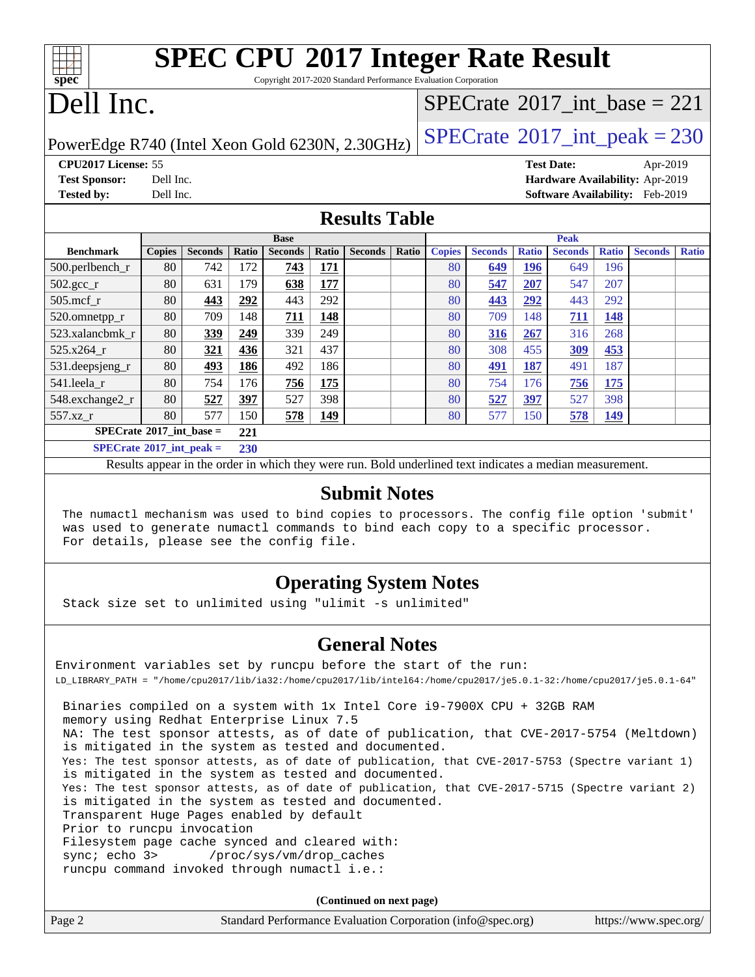Copyright 2017-2020 Standard Performance Evaluation Corporation

## Dell Inc.

**[spec](http://www.spec.org/)**

### $SPECrate$ <sup>®</sup> $2017$ \_int\_base = 221

PowerEdge R740 (Intel Xeon Gold 6230N, 2.30GHz)  $\left|$  [SPECrate](http://www.spec.org/auto/cpu2017/Docs/result-fields.html#SPECrate2017intpeak)®[2017\\_int\\_peak = 2](http://www.spec.org/auto/cpu2017/Docs/result-fields.html#SPECrate2017intpeak)30

**[CPU2017 License:](http://www.spec.org/auto/cpu2017/Docs/result-fields.html#CPU2017License)** 55 **[Test Date:](http://www.spec.org/auto/cpu2017/Docs/result-fields.html#TestDate)** Apr-2019 **[Test Sponsor:](http://www.spec.org/auto/cpu2017/Docs/result-fields.html#TestSponsor)** Dell Inc. **[Hardware Availability:](http://www.spec.org/auto/cpu2017/Docs/result-fields.html#HardwareAvailability)** Apr-2019 **[Tested by:](http://www.spec.org/auto/cpu2017/Docs/result-fields.html#Testedby)** Dell Inc. **[Software Availability:](http://www.spec.org/auto/cpu2017/Docs/result-fields.html#SoftwareAvailability)** Feb-2019

#### **[Results Table](http://www.spec.org/auto/cpu2017/Docs/result-fields.html#ResultsTable)**

|                                     | <b>Base</b>   |                |       |                |            | <b>Peak</b>    |       |               |                |              |                |              |                |              |
|-------------------------------------|---------------|----------------|-------|----------------|------------|----------------|-------|---------------|----------------|--------------|----------------|--------------|----------------|--------------|
| <b>Benchmark</b>                    | <b>Copies</b> | <b>Seconds</b> | Ratio | <b>Seconds</b> | Ratio      | <b>Seconds</b> | Ratio | <b>Copies</b> | <b>Seconds</b> | <b>Ratio</b> | <b>Seconds</b> | <b>Ratio</b> | <b>Seconds</b> | <b>Ratio</b> |
| 500.perlbench_r                     | 80            | 742            | 172   | 743            | <u>171</u> |                |       | 80            | 649            | 196          | 649            | 196          |                |              |
| $502.\text{gcc}$ _r                 | 80            | 631            | 179   | 638            | 177        |                |       | 80            | 547            | 207          | 547            | 207          |                |              |
| $505$ .mcf r                        | 80            | 443            | 292   | 443            | 292        |                |       | 80            | 443            | 292          | 443            | 292          |                |              |
| 520.omnetpp_r                       | 80            | 709            | 148   | 711            | 148        |                |       | 80            | 709            | 148          | 711            | <u>148</u>   |                |              |
| 523.xalancbmk r                     | 80            | 339            | 249   | 339            | 249        |                |       | 80            | 316            | 267          | 316            | 268          |                |              |
| 525.x264 r                          | 80            | 321            | 436   | 321            | 437        |                |       | 80            | 308            | 455          | 309            | 453          |                |              |
| 531.deepsjeng_r                     | 80            | <b>493</b>     | 186   | 492            | 186        |                |       | 80            | 491            | 187          | 491            | 187          |                |              |
| 541.leela_r                         | 80            | 754            | 176   | 756            | 175        |                |       | 80            | 754            | 176          | 756            | 175          |                |              |
| 548.exchange2_r                     | 80            | 527            | 397   | 527            | 398        |                |       | 80            | 527            | 397          | 527            | 398          |                |              |
| 557.xz r                            | 80            | 577            | 150   | 578            | <b>149</b> |                |       | 80            | 577            | 150          | 578            | <b>149</b>   |                |              |
| $SPECrate^{\circ}2017$ int base =   |               |                | 221   |                |            |                |       |               |                |              |                |              |                |              |
| $SPECrate^{\circ}2017\_int\_peak =$ |               |                | 230   |                |            |                |       |               |                |              |                |              |                |              |

Results appear in the [order in which they were run](http://www.spec.org/auto/cpu2017/Docs/result-fields.html#RunOrder). Bold underlined text [indicates a median measurement](http://www.spec.org/auto/cpu2017/Docs/result-fields.html#Median).

#### **[Submit Notes](http://www.spec.org/auto/cpu2017/Docs/result-fields.html#SubmitNotes)**

 The numactl mechanism was used to bind copies to processors. The config file option 'submit' was used to generate numactl commands to bind each copy to a specific processor. For details, please see the config file.

### **[Operating System Notes](http://www.spec.org/auto/cpu2017/Docs/result-fields.html#OperatingSystemNotes)**

Stack size set to unlimited using "ulimit -s unlimited"

#### **[General Notes](http://www.spec.org/auto/cpu2017/Docs/result-fields.html#GeneralNotes)**

Environment variables set by runcpu before the start of the run: LD\_LIBRARY\_PATH = "/home/cpu2017/lib/ia32:/home/cpu2017/lib/intel64:/home/cpu2017/je5.0.1-32:/home/cpu2017/je5.0.1-64" Binaries compiled on a system with 1x Intel Core i9-7900X CPU + 32GB RAM memory using Redhat Enterprise Linux 7.5 NA: The test sponsor attests, as of date of publication, that CVE-2017-5754 (Meltdown) is mitigated in the system as tested and documented. Yes: The test sponsor attests, as of date of publication, that CVE-2017-5753 (Spectre variant 1) is mitigated in the system as tested and documented. Yes: The test sponsor attests, as of date of publication, that CVE-2017-5715 (Spectre variant 2) is mitigated in the system as tested and documented. Transparent Huge Pages enabled by default Prior to runcpu invocation Filesystem page cache synced and cleared with: sync; echo 3> /proc/sys/vm/drop\_caches runcpu command invoked through numactl i.e.:

**(Continued on next page)**

| Page 2 | Standard Performance Evaluation Corporation (info@spec.org) | https://www.spec.org/ |
|--------|-------------------------------------------------------------|-----------------------|
|--------|-------------------------------------------------------------|-----------------------|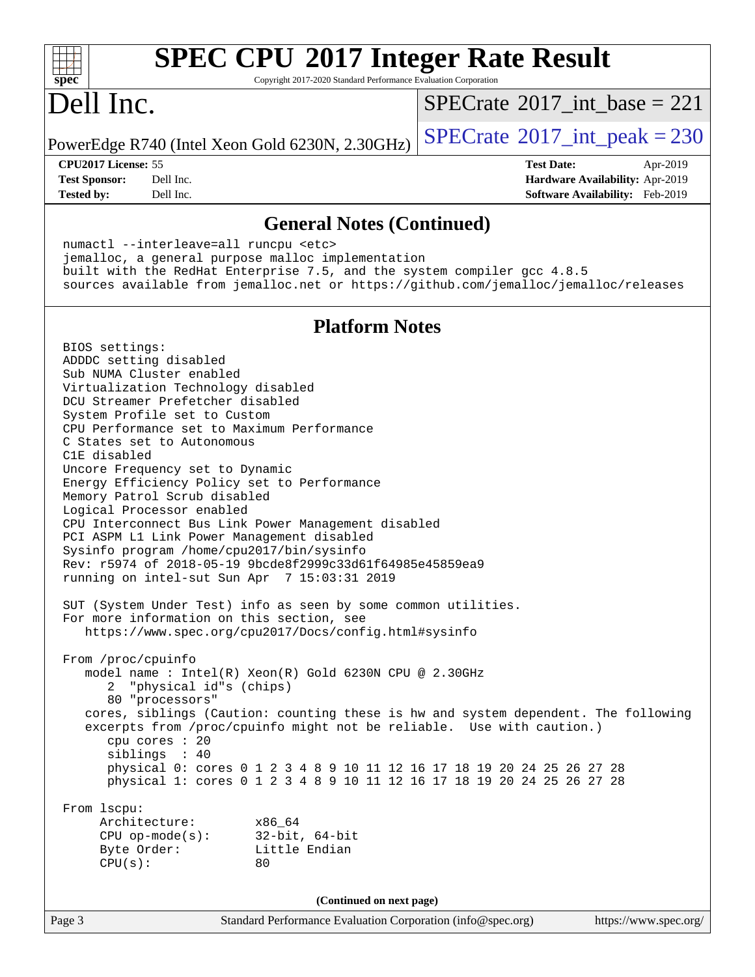

 numactl --interleave=all runcpu <etc> jemalloc, a general purpose malloc implementation built with the RedHat Enterprise 7.5, and the system compiler gcc 4.8.5 sources available from jemalloc.net or <https://github.com/jemalloc/jemalloc/releases>

#### **[Platform Notes](http://www.spec.org/auto/cpu2017/Docs/result-fields.html#PlatformNotes)**

Page 3 Standard Performance Evaluation Corporation [\(info@spec.org\)](mailto:info@spec.org) <https://www.spec.org/> BIOS settings: ADDDC setting disabled Sub NUMA Cluster enabled Virtualization Technology disabled DCU Streamer Prefetcher disabled System Profile set to Custom CPU Performance set to Maximum Performance C States set to Autonomous C1E disabled Uncore Frequency set to Dynamic Energy Efficiency Policy set to Performance Memory Patrol Scrub disabled Logical Processor enabled CPU Interconnect Bus Link Power Management disabled PCI ASPM L1 Link Power Management disabled Sysinfo program /home/cpu2017/bin/sysinfo Rev: r5974 of 2018-05-19 9bcde8f2999c33d61f64985e45859ea9 running on intel-sut Sun Apr 7 15:03:31 2019 SUT (System Under Test) info as seen by some common utilities. For more information on this section, see <https://www.spec.org/cpu2017/Docs/config.html#sysinfo> From /proc/cpuinfo model name : Intel(R) Xeon(R) Gold 6230N CPU @ 2.30GHz 2 "physical id"s (chips) 80 "processors" cores, siblings (Caution: counting these is hw and system dependent. The following excerpts from /proc/cpuinfo might not be reliable. Use with caution.) cpu cores : 20 siblings : 40 physical 0: cores 0 1 2 3 4 8 9 10 11 12 16 17 18 19 20 24 25 26 27 28 physical 1: cores 0 1 2 3 4 8 9 10 11 12 16 17 18 19 20 24 25 26 27 28 From lscpu: Architecture: x86\_64 CPU op-mode(s): 32-bit, 64-bit Byte Order: Little Endian  $CPU(s):$  80 **(Continued on next page)**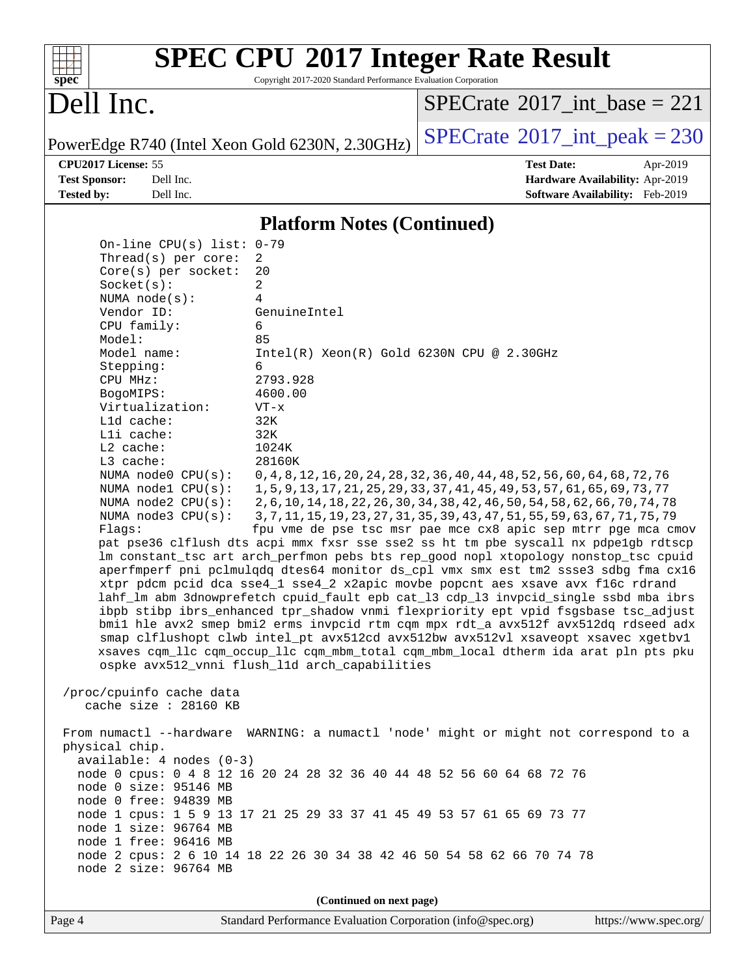

Copyright 2017-2020 Standard Performance Evaluation Corporation

## Dell Inc.

 $SPECTate$ <sup>®</sup>[2017\\_int\\_base =](http://www.spec.org/auto/cpu2017/Docs/result-fields.html#SPECrate2017intbase) 221

PowerEdge R740 (Intel Xeon Gold 6230N, 2.30GHz)  $\left|$  [SPECrate](http://www.spec.org/auto/cpu2017/Docs/result-fields.html#SPECrate2017intpeak)<sup>®</sup>[2017\\_int\\_peak = 2](http://www.spec.org/auto/cpu2017/Docs/result-fields.html#SPECrate2017intpeak)30

**[CPU2017 License:](http://www.spec.org/auto/cpu2017/Docs/result-fields.html#CPU2017License)** 55 **[Test Date:](http://www.spec.org/auto/cpu2017/Docs/result-fields.html#TestDate)** Apr-2019 **[Test Sponsor:](http://www.spec.org/auto/cpu2017/Docs/result-fields.html#TestSponsor)** Dell Inc. **[Hardware Availability:](http://www.spec.org/auto/cpu2017/Docs/result-fields.html#HardwareAvailability)** Apr-2019 **[Tested by:](http://www.spec.org/auto/cpu2017/Docs/result-fields.html#Testedby)** Dell Inc. **[Software Availability:](http://www.spec.org/auto/cpu2017/Docs/result-fields.html#SoftwareAvailability)** Feb-2019

#### **[Platform Notes \(Continued\)](http://www.spec.org/auto/cpu2017/Docs/result-fields.html#PlatformNotes)**

 On-line CPU(s) list: 0-79 Thread(s) per core: 2 Core(s) per socket: 20 Socket(s): 2 NUMA node(s): 4 Vendor ID: GenuineIntel CPU family: 6 Model: 85 Model name: Intel(R) Xeon(R) Gold 6230N CPU @ 2.30GHz Stepping: 6 CPU MHz: 2793.928 BogoMIPS: 4600.00 Virtualization: VT-x L1d cache: 32K L1i cache: 32K L2 cache: 1024K L3 cache: 28160K NUMA node0 CPU(s): 0,4,8,12,16,20,24,28,32,36,40,44,48,52,56,60,64,68,72,76<br>NUMA node1 CPU(s): 1,5,9,13,17,21,25,29,33,37,41,45,49,53,57,61,65,69,73,77 1,5,9,13,17,21,25,29,33,37,41,45,49,53,57,61,65,69,73,77 NUMA node2 CPU(s): 2,6,10,14,18,22,26,30,34,38,42,46,50,54,58,62,66,70,74,78 NUMA node3 CPU(s): 3,7,11,15,19,23,27,31,35,39,43,47,51,55,59,63,67,71,75,79 Flags: fpu vme de pse tsc msr pae mce cx8 apic sep mtrr pge mca cmov pat pse36 clflush dts acpi mmx fxsr sse sse2 ss ht tm pbe syscall nx pdpe1gb rdtscp lm constant\_tsc art arch\_perfmon pebs bts rep\_good nopl xtopology nonstop\_tsc cpuid aperfmperf pni pclmulqdq dtes64 monitor ds\_cpl vmx smx est tm2 ssse3 sdbg fma cx16 xtpr pdcm pcid dca sse4\_1 sse4\_2 x2apic movbe popcnt aes xsave avx f16c rdrand lahf\_lm abm 3dnowprefetch cpuid\_fault epb cat\_l3 cdp\_l3 invpcid\_single ssbd mba ibrs ibpb stibp ibrs\_enhanced tpr\_shadow vnmi flexpriority ept vpid fsgsbase tsc\_adjust bmi1 hle avx2 smep bmi2 erms invpcid rtm cqm mpx rdt\_a avx512f avx512dq rdseed adx smap clflushopt clwb intel\_pt avx512cd avx512bw avx512vl xsaveopt xsavec xgetbv1 xsaves cqm\_llc cqm\_occup\_llc cqm\_mbm\_total cqm\_mbm\_local dtherm ida arat pln pts pku ospke avx512\_vnni flush\_l1d arch\_capabilities /proc/cpuinfo cache data cache size : 28160 KB From numactl --hardware WARNING: a numactl 'node' might or might not correspond to a physical chip. available: 4 nodes (0-3) node 0 cpus: 0 4 8 12 16 20 24 28 32 36 40 44 48 52 56 60 64 68 72 76 node 0 size: 95146 MB node 0 free: 94839 MB node 1 cpus: 1 5 9 13 17 21 25 29 33 37 41 45 49 53 57 61 65 69 73 77 node 1 size: 96764 MB node 1 free: 96416 MB node 2 cpus: 2 6 10 14 18 22 26 30 34 38 42 46 50 54 58 62 66 70 74 78 node 2 size: 96764 MB

**(Continued on next page)**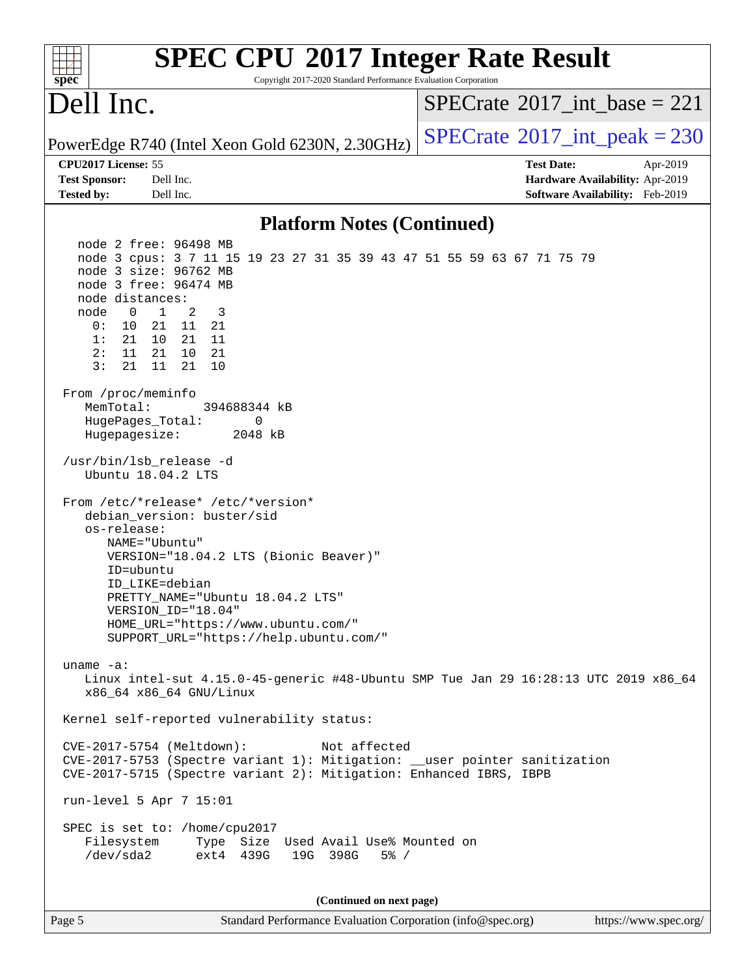| <b>SPEC CPU®2017 Integer Rate Result</b><br>Copyright 2017-2020 Standard Performance Evaluation Corporation<br>spec <sup>®</sup>                                                                                                                                                                                                                                                                                                                                                                                                                                                          |                                                                                                            |
|-------------------------------------------------------------------------------------------------------------------------------------------------------------------------------------------------------------------------------------------------------------------------------------------------------------------------------------------------------------------------------------------------------------------------------------------------------------------------------------------------------------------------------------------------------------------------------------------|------------------------------------------------------------------------------------------------------------|
| Dell Inc.                                                                                                                                                                                                                                                                                                                                                                                                                                                                                                                                                                                 | $SPECrate^{\circledast}2017$ int base = 221                                                                |
| PowerEdge R740 (Intel Xeon Gold 6230N, 2.30GHz)                                                                                                                                                                                                                                                                                                                                                                                                                                                                                                                                           | $SPECTate$ <sup>®</sup> 2017_int_peak = 230                                                                |
| CPU2017 License: 55<br>Dell Inc.<br><b>Test Sponsor:</b><br>Dell Inc.<br><b>Tested by:</b>                                                                                                                                                                                                                                                                                                                                                                                                                                                                                                | <b>Test Date:</b><br>Apr-2019<br>Hardware Availability: Apr-2019<br><b>Software Availability:</b> Feb-2019 |
| <b>Platform Notes (Continued)</b>                                                                                                                                                                                                                                                                                                                                                                                                                                                                                                                                                         |                                                                                                            |
| node 2 free: 96498 MB<br>node 3 cpus: 3 7 11 15 19 23 27 31 35 39 43 47 51 55 59 63 67 71 75 79<br>node 3 size: 96762 MB<br>node 3 free: 96474 MB<br>node distances:<br>2<br>$\mathbf 0$<br>$\mathbf{1}$<br>3<br>node<br>0 :<br>10 21 11 21<br>1:<br>21 10<br>21 11<br>2:<br>11<br>21<br>10 21<br>3:<br>21<br>21<br>10<br>11<br>From /proc/meminfo<br>MemTotal:<br>394688344 kB<br>HugePages_Total:<br>0<br>Hugepagesize:<br>2048 kB<br>/usr/bin/lsb_release -d<br>Ubuntu 18.04.2 LTS<br>From /etc/*release* /etc/*version*<br>debian_version: buster/sid<br>os-release:<br>NAME="Ubuntu" |                                                                                                            |
| VERSION="18.04.2 LTS (Bionic Beaver)"<br>ID=ubuntu<br>ID_LIKE=debian<br>PRETTY_NAME="Ubuntu 18.04.2 LTS"<br>VERSION ID="18.04"<br>HOME_URL="https://www.ubuntu.com/"<br>SUPPORT URL="https://help.ubuntu.com/"                                                                                                                                                                                                                                                                                                                                                                            |                                                                                                            |
| uname $-a$ :<br>Linux intel-sut 4.15.0-45-generic #48-Ubuntu SMP Tue Jan 29 16:28:13 UTC 2019 x86_64<br>x86_64 x86_64 GNU/Linux                                                                                                                                                                                                                                                                                                                                                                                                                                                           |                                                                                                            |
| Kernel self-reported vulnerability status:                                                                                                                                                                                                                                                                                                                                                                                                                                                                                                                                                |                                                                                                            |
| CVE-2017-5754 (Meltdown):<br>Not affected<br>CVE-2017-5753 (Spectre variant 1): Mitigation: __user pointer sanitization<br>CVE-2017-5715 (Spectre variant 2): Mitigation: Enhanced IBRS, IBPB                                                                                                                                                                                                                                                                                                                                                                                             |                                                                                                            |
| run-level 5 Apr 7 15:01                                                                                                                                                                                                                                                                                                                                                                                                                                                                                                                                                                   |                                                                                                            |
| SPEC is set to: /home/cpu2017<br>Filesystem<br>Type Size Used Avail Use% Mounted on<br>/dev/sda2<br>ext4 439G<br>19G 398G<br>$5\%$ /                                                                                                                                                                                                                                                                                                                                                                                                                                                      |                                                                                                            |
| (Continued on next page)                                                                                                                                                                                                                                                                                                                                                                                                                                                                                                                                                                  |                                                                                                            |
| Page 5<br>Standard Performance Evaluation Corporation (info@spec.org)                                                                                                                                                                                                                                                                                                                                                                                                                                                                                                                     | https://www.spec.org/                                                                                      |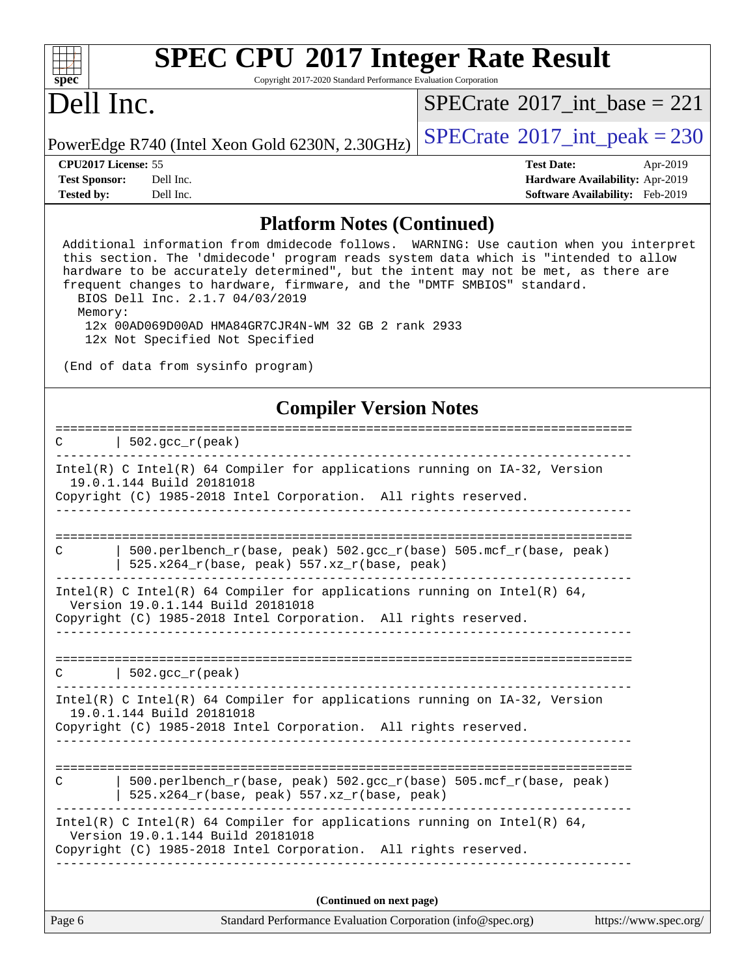

Copyright 2017-2020 Standard Performance Evaluation Corporation

## Dell Inc.

 $SPECTate$ <sup>®</sup>[2017\\_int\\_base =](http://www.spec.org/auto/cpu2017/Docs/result-fields.html#SPECrate2017intbase) 221

PowerEdge R740 (Intel Xeon Gold 6230N, 2.30GHz)  $\left|$  [SPECrate](http://www.spec.org/auto/cpu2017/Docs/result-fields.html#SPECrate2017intpeak)®[2017\\_int\\_peak = 2](http://www.spec.org/auto/cpu2017/Docs/result-fields.html#SPECrate2017intpeak)30

**[Tested by:](http://www.spec.org/auto/cpu2017/Docs/result-fields.html#Testedby)** Dell Inc. **[Software Availability:](http://www.spec.org/auto/cpu2017/Docs/result-fields.html#SoftwareAvailability)** Feb-2019

**[CPU2017 License:](http://www.spec.org/auto/cpu2017/Docs/result-fields.html#CPU2017License)** 55 **[Test Date:](http://www.spec.org/auto/cpu2017/Docs/result-fields.html#TestDate)** Apr-2019 **[Test Sponsor:](http://www.spec.org/auto/cpu2017/Docs/result-fields.html#TestSponsor)** Dell Inc. **[Hardware Availability:](http://www.spec.org/auto/cpu2017/Docs/result-fields.html#HardwareAvailability)** Apr-2019

#### **[Platform Notes \(Continued\)](http://www.spec.org/auto/cpu2017/Docs/result-fields.html#PlatformNotes)**

 Additional information from dmidecode follows. WARNING: Use caution when you interpret this section. The 'dmidecode' program reads system data which is "intended to allow hardware to be accurately determined", but the intent may not be met, as there are frequent changes to hardware, firmware, and the "DMTF SMBIOS" standard. BIOS Dell Inc. 2.1.7 04/03/2019 Memory: 12x 00AD069D00AD HMA84GR7CJR4N-WM 32 GB 2 rank 2933 12x Not Specified Not Specified (End of data from sysinfo program) **[Compiler Version Notes](http://www.spec.org/auto/cpu2017/Docs/result-fields.html#CompilerVersionNotes)** ==============================================================================  $C$  | 502.gcc\_r(peak) ------------------------------------------------------------------------------ Intel(R) C Intel(R) 64 Compiler for applications running on IA-32, Version 19.0.1.144 Build 20181018 Copyright (C) 1985-2018 Intel Corporation. All rights reserved. ------------------------------------------------------------------------------ ============================================================================== C | 500.perlbench\_r(base, peak) 502.gcc\_r(base) 505.mcf\_r(base, peak) | 525.x264\_r(base, peak) 557.xz\_r(base, peak) ------------------------------------------------------------------------------ Intel(R) C Intel(R) 64 Compiler for applications running on Intel(R) 64, Version 19.0.1.144 Build 20181018 Copyright (C) 1985-2018 Intel Corporation. All rights reserved. ------------------------------------------------------------------------------ ==============================================================================  $C \qquad \qquad | \; 502.\text{gcc\_r}(\text{peak})$ ------------------------------------------------------------------------------ Intel(R) C Intel(R) 64 Compiler for applications running on IA-32, Version 19.0.1.144 Build 20181018 Copyright (C) 1985-2018 Intel Corporation. All rights reserved. ------------------------------------------------------------------------------ ============================================================================== C | 500.perlbench\_r(base, peak) 502.gcc\_r(base) 505.mcf\_r(base, peak) | 525.x264\_r(base, peak) 557.xz\_r(base, peak) ------------------------------------------------------------------------------ Intel(R) C Intel(R) 64 Compiler for applications running on Intel(R)  $64$ , Version 19.0.1.144 Build 20181018 Copyright (C) 1985-2018 Intel Corporation. All rights reserved. ------------------------------------------------------------------------------ **(Continued on next page)**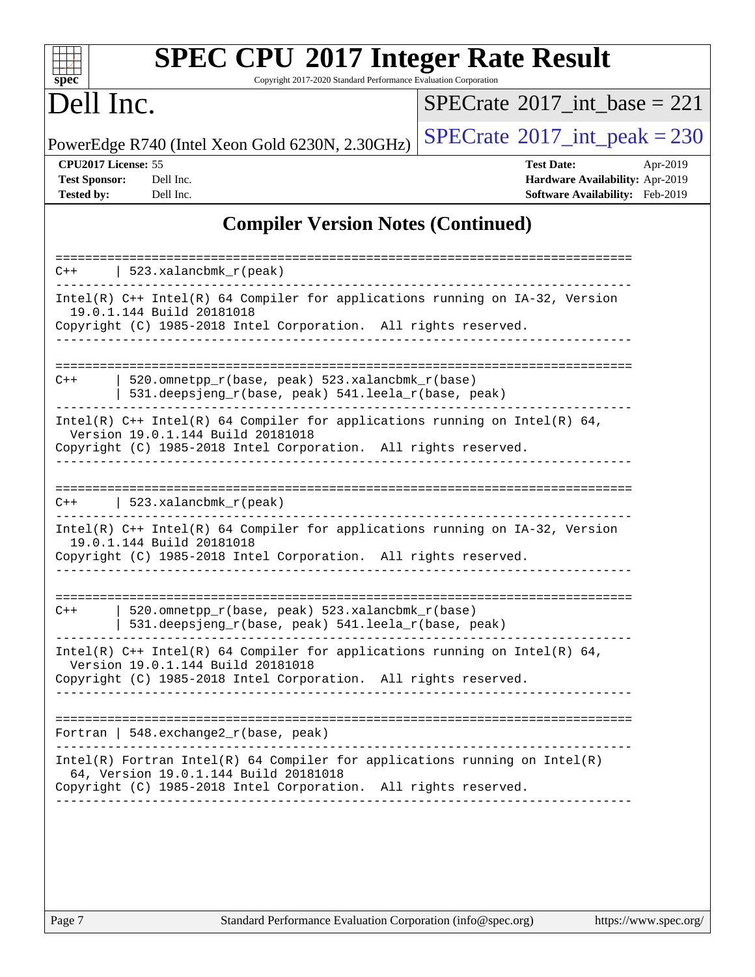| s<br>E<br>n<br>¢<br>÷, |  |  |  |  |  |
|------------------------|--|--|--|--|--|

Copyright 2017-2020 Standard Performance Evaluation Corporation

## Dell Inc.

 $SPECTate$ <sup>®</sup>[2017\\_int\\_base =](http://www.spec.org/auto/cpu2017/Docs/result-fields.html#SPECrate2017intbase) 221

PowerEdge R740 (Intel Xeon Gold 6230N, 2.30GHz)  $\left|$  [SPECrate](http://www.spec.org/auto/cpu2017/Docs/result-fields.html#SPECrate2017intpeak)<sup>®</sup>[2017\\_int\\_peak = 2](http://www.spec.org/auto/cpu2017/Docs/result-fields.html#SPECrate2017intpeak)30

**[CPU2017 License:](http://www.spec.org/auto/cpu2017/Docs/result-fields.html#CPU2017License)** 55 **[Test Date:](http://www.spec.org/auto/cpu2017/Docs/result-fields.html#TestDate)** Apr-2019 **[Test Sponsor:](http://www.spec.org/auto/cpu2017/Docs/result-fields.html#TestSponsor)** Dell Inc. **[Hardware Availability:](http://www.spec.org/auto/cpu2017/Docs/result-fields.html#HardwareAvailability)** Apr-2019 **[Tested by:](http://www.spec.org/auto/cpu2017/Docs/result-fields.html#Testedby)** Dell Inc. **[Software Availability:](http://www.spec.org/auto/cpu2017/Docs/result-fields.html#SoftwareAvailability)** Feb-2019

#### **[Compiler Version Notes \(Continued\)](http://www.spec.org/auto/cpu2017/Docs/result-fields.html#CompilerVersionNotes)**

| $C++$                                                                                                                                                                                | $523$ .xalancbmk $r(\text{peak})$                                                                                                                                                        |  |  |  |  |  |
|--------------------------------------------------------------------------------------------------------------------------------------------------------------------------------------|------------------------------------------------------------------------------------------------------------------------------------------------------------------------------------------|--|--|--|--|--|
|                                                                                                                                                                                      | Intel(R) $C++$ Intel(R) 64 Compiler for applications running on $IA-32$ , Version<br>19.0.1.144 Build 20181018                                                                           |  |  |  |  |  |
|                                                                                                                                                                                      | Copyright (C) 1985-2018 Intel Corporation. All rights reserved.                                                                                                                          |  |  |  |  |  |
|                                                                                                                                                                                      |                                                                                                                                                                                          |  |  |  |  |  |
| $C++$                                                                                                                                                                                | 520. omnetpp $r(base, peak)$ 523. xalancbmk $r(base)$<br>531.deepsjeng_r(base, peak) 541.leela_r(base, peak)                                                                             |  |  |  |  |  |
| Intel(R) $C++$ Intel(R) 64 Compiler for applications running on Intel(R) 64,<br>Version 19.0.1.144 Build 20181018<br>Copyright (C) 1985-2018 Intel Corporation. All rights reserved. |                                                                                                                                                                                          |  |  |  |  |  |
|                                                                                                                                                                                      |                                                                                                                                                                                          |  |  |  |  |  |
| $C++$                                                                                                                                                                                | 523.xalancbmk_r(peak)                                                                                                                                                                    |  |  |  |  |  |
| Intel(R) C++ Intel(R) 64 Compiler for applications running on IA-32, Version<br>19.0.1.144 Build 20181018<br>Copyright (C) 1985-2018 Intel Corporation. All rights reserved.         |                                                                                                                                                                                          |  |  |  |  |  |
|                                                                                                                                                                                      |                                                                                                                                                                                          |  |  |  |  |  |
| $C++$                                                                                                                                                                                | 520.omnetpp_r(base, peak) 523.xalancbmk_r(base)<br>531.deepsjeng_r(base, peak) 541.leela_r(base, peak)                                                                                   |  |  |  |  |  |
|                                                                                                                                                                                      | Intel(R) $C++$ Intel(R) 64 Compiler for applications running on Intel(R) 64,<br>Version 19.0.1.144 Build 20181018<br>Copyright (C) 1985-2018 Intel Corporation. All rights reserved.     |  |  |  |  |  |
|                                                                                                                                                                                      |                                                                                                                                                                                          |  |  |  |  |  |
| Fortran                                                                                                                                                                              | 548.exchange2_r(base, peak)                                                                                                                                                              |  |  |  |  |  |
|                                                                                                                                                                                      | $Intel(R)$ Fortran Intel(R) 64 Compiler for applications running on Intel(R)<br>64, Version 19.0.1.144 Build 20181018<br>Copyright (C) 1985-2018 Intel Corporation. All rights reserved. |  |  |  |  |  |
|                                                                                                                                                                                      |                                                                                                                                                                                          |  |  |  |  |  |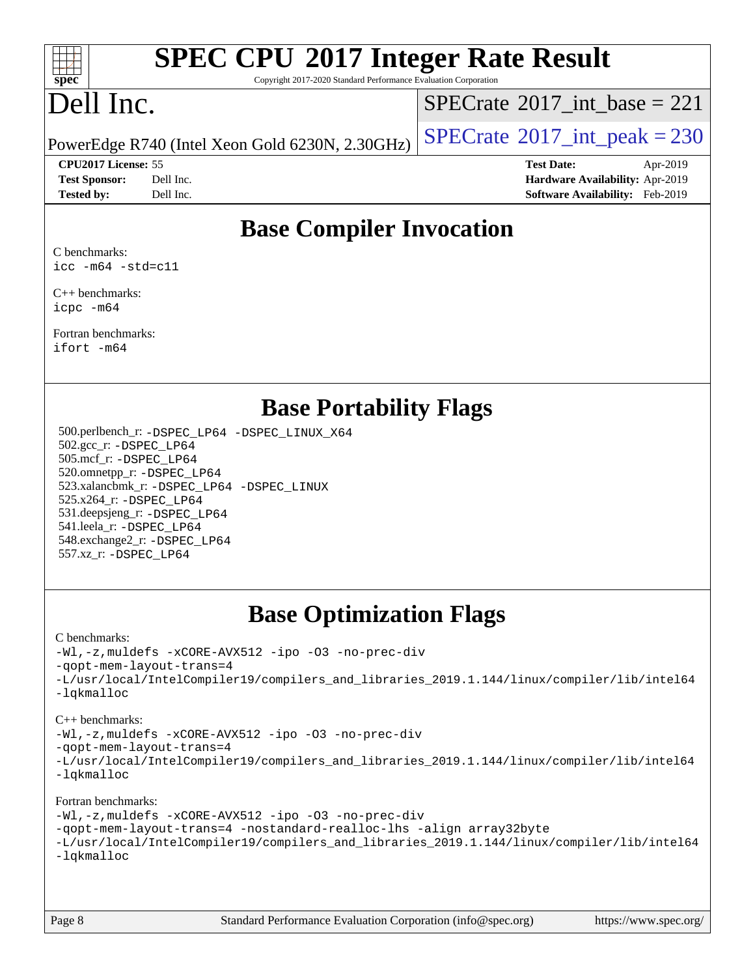

Copyright 2017-2020 Standard Performance Evaluation Corporation

## Dell Inc.

 $SPECrate$ <sup>®</sup>[2017\\_int\\_base =](http://www.spec.org/auto/cpu2017/Docs/result-fields.html#SPECrate2017intbase) 221

PowerEdge R740 (Intel Xeon Gold 6230N, 2.30GHz)  $\vert$  [SPECrate](http://www.spec.org/auto/cpu2017/Docs/result-fields.html#SPECrate2017intpeak)®[2017\\_int\\_peak = 2](http://www.spec.org/auto/cpu2017/Docs/result-fields.html#SPECrate2017intpeak)30

**[CPU2017 License:](http://www.spec.org/auto/cpu2017/Docs/result-fields.html#CPU2017License)** 55 **[Test Date:](http://www.spec.org/auto/cpu2017/Docs/result-fields.html#TestDate)** Apr-2019 **[Test Sponsor:](http://www.spec.org/auto/cpu2017/Docs/result-fields.html#TestSponsor)** Dell Inc. **[Hardware Availability:](http://www.spec.org/auto/cpu2017/Docs/result-fields.html#HardwareAvailability)** Apr-2019 **[Tested by:](http://www.spec.org/auto/cpu2017/Docs/result-fields.html#Testedby)** Dell Inc. **[Software Availability:](http://www.spec.org/auto/cpu2017/Docs/result-fields.html#SoftwareAvailability)** Feb-2019

## **[Base Compiler Invocation](http://www.spec.org/auto/cpu2017/Docs/result-fields.html#BaseCompilerInvocation)**

[C benchmarks:](http://www.spec.org/auto/cpu2017/Docs/result-fields.html#Cbenchmarks) [icc -m64 -std=c11](http://www.spec.org/cpu2017/results/res2019q3/cpu2017-20190805-16529.flags.html#user_CCbase_intel_icc_64bit_c11_33ee0cdaae7deeeab2a9725423ba97205ce30f63b9926c2519791662299b76a0318f32ddfffdc46587804de3178b4f9328c46fa7c2b0cd779d7a61945c91cd35)

[C++ benchmarks:](http://www.spec.org/auto/cpu2017/Docs/result-fields.html#CXXbenchmarks) [icpc -m64](http://www.spec.org/cpu2017/results/res2019q3/cpu2017-20190805-16529.flags.html#user_CXXbase_intel_icpc_64bit_4ecb2543ae3f1412ef961e0650ca070fec7b7afdcd6ed48761b84423119d1bf6bdf5cad15b44d48e7256388bc77273b966e5eb805aefd121eb22e9299b2ec9d9)

[Fortran benchmarks](http://www.spec.org/auto/cpu2017/Docs/result-fields.html#Fortranbenchmarks): [ifort -m64](http://www.spec.org/cpu2017/results/res2019q3/cpu2017-20190805-16529.flags.html#user_FCbase_intel_ifort_64bit_24f2bb282fbaeffd6157abe4f878425411749daecae9a33200eee2bee2fe76f3b89351d69a8130dd5949958ce389cf37ff59a95e7a40d588e8d3a57e0c3fd751)

### **[Base Portability Flags](http://www.spec.org/auto/cpu2017/Docs/result-fields.html#BasePortabilityFlags)**

 500.perlbench\_r: [-DSPEC\\_LP64](http://www.spec.org/cpu2017/results/res2019q3/cpu2017-20190805-16529.flags.html#b500.perlbench_r_basePORTABILITY_DSPEC_LP64) [-DSPEC\\_LINUX\\_X64](http://www.spec.org/cpu2017/results/res2019q3/cpu2017-20190805-16529.flags.html#b500.perlbench_r_baseCPORTABILITY_DSPEC_LINUX_X64) 502.gcc\_r: [-DSPEC\\_LP64](http://www.spec.org/cpu2017/results/res2019q3/cpu2017-20190805-16529.flags.html#suite_basePORTABILITY502_gcc_r_DSPEC_LP64) 505.mcf\_r: [-DSPEC\\_LP64](http://www.spec.org/cpu2017/results/res2019q3/cpu2017-20190805-16529.flags.html#suite_basePORTABILITY505_mcf_r_DSPEC_LP64) 520.omnetpp\_r: [-DSPEC\\_LP64](http://www.spec.org/cpu2017/results/res2019q3/cpu2017-20190805-16529.flags.html#suite_basePORTABILITY520_omnetpp_r_DSPEC_LP64) 523.xalancbmk\_r: [-DSPEC\\_LP64](http://www.spec.org/cpu2017/results/res2019q3/cpu2017-20190805-16529.flags.html#suite_basePORTABILITY523_xalancbmk_r_DSPEC_LP64) [-DSPEC\\_LINUX](http://www.spec.org/cpu2017/results/res2019q3/cpu2017-20190805-16529.flags.html#b523.xalancbmk_r_baseCXXPORTABILITY_DSPEC_LINUX) 525.x264\_r: [-DSPEC\\_LP64](http://www.spec.org/cpu2017/results/res2019q3/cpu2017-20190805-16529.flags.html#suite_basePORTABILITY525_x264_r_DSPEC_LP64) 531.deepsjeng\_r: [-DSPEC\\_LP64](http://www.spec.org/cpu2017/results/res2019q3/cpu2017-20190805-16529.flags.html#suite_basePORTABILITY531_deepsjeng_r_DSPEC_LP64) 541.leela\_r: [-DSPEC\\_LP64](http://www.spec.org/cpu2017/results/res2019q3/cpu2017-20190805-16529.flags.html#suite_basePORTABILITY541_leela_r_DSPEC_LP64) 548.exchange2\_r: [-DSPEC\\_LP64](http://www.spec.org/cpu2017/results/res2019q3/cpu2017-20190805-16529.flags.html#suite_basePORTABILITY548_exchange2_r_DSPEC_LP64) 557.xz\_r: [-DSPEC\\_LP64](http://www.spec.org/cpu2017/results/res2019q3/cpu2017-20190805-16529.flags.html#suite_basePORTABILITY557_xz_r_DSPEC_LP64)

## **[Base Optimization Flags](http://www.spec.org/auto/cpu2017/Docs/result-fields.html#BaseOptimizationFlags)**

#### [C benchmarks](http://www.spec.org/auto/cpu2017/Docs/result-fields.html#Cbenchmarks):

[-Wl,-z,muldefs](http://www.spec.org/cpu2017/results/res2019q3/cpu2017-20190805-16529.flags.html#user_CCbase_link_force_multiple1_b4cbdb97b34bdee9ceefcfe54f4c8ea74255f0b02a4b23e853cdb0e18eb4525ac79b5a88067c842dd0ee6996c24547a27a4b99331201badda8798ef8a743f577) [-xCORE-AVX512](http://www.spec.org/cpu2017/results/res2019q3/cpu2017-20190805-16529.flags.html#user_CCbase_f-xCORE-AVX512) [-ipo](http://www.spec.org/cpu2017/results/res2019q3/cpu2017-20190805-16529.flags.html#user_CCbase_f-ipo) [-O3](http://www.spec.org/cpu2017/results/res2019q3/cpu2017-20190805-16529.flags.html#user_CCbase_f-O3) [-no-prec-div](http://www.spec.org/cpu2017/results/res2019q3/cpu2017-20190805-16529.flags.html#user_CCbase_f-no-prec-div) [-qopt-mem-layout-trans=4](http://www.spec.org/cpu2017/results/res2019q3/cpu2017-20190805-16529.flags.html#user_CCbase_f-qopt-mem-layout-trans_fa39e755916c150a61361b7846f310bcdf6f04e385ef281cadf3647acec3f0ae266d1a1d22d972a7087a248fd4e6ca390a3634700869573d231a252c784941a8) [-L/usr/local/IntelCompiler19/compilers\\_and\\_libraries\\_2019.1.144/linux/compiler/lib/intel64](http://www.spec.org/cpu2017/results/res2019q3/cpu2017-20190805-16529.flags.html#user_CCbase_qkmalloc_link_f25da0aa8cf9bced0533715046f0c2fbfb1a7191e3e496916672e09b4c388a884c4c7e4862cb529343da2264b43416df65c99fd1ddbf5dd13ae6d3130cf47881) [-lqkmalloc](http://www.spec.org/cpu2017/results/res2019q3/cpu2017-20190805-16529.flags.html#user_CCbase_qkmalloc_link_lib_79a818439969f771c6bc311cfd333c00fc099dad35c030f5aab9dda831713d2015205805422f83de8875488a2991c0a156aaa600e1f9138f8fc37004abc96dc5)

#### [C++ benchmarks](http://www.spec.org/auto/cpu2017/Docs/result-fields.html#CXXbenchmarks):

[-Wl,-z,muldefs](http://www.spec.org/cpu2017/results/res2019q3/cpu2017-20190805-16529.flags.html#user_CXXbase_link_force_multiple1_b4cbdb97b34bdee9ceefcfe54f4c8ea74255f0b02a4b23e853cdb0e18eb4525ac79b5a88067c842dd0ee6996c24547a27a4b99331201badda8798ef8a743f577) [-xCORE-AVX512](http://www.spec.org/cpu2017/results/res2019q3/cpu2017-20190805-16529.flags.html#user_CXXbase_f-xCORE-AVX512) [-ipo](http://www.spec.org/cpu2017/results/res2019q3/cpu2017-20190805-16529.flags.html#user_CXXbase_f-ipo) [-O3](http://www.spec.org/cpu2017/results/res2019q3/cpu2017-20190805-16529.flags.html#user_CXXbase_f-O3) [-no-prec-div](http://www.spec.org/cpu2017/results/res2019q3/cpu2017-20190805-16529.flags.html#user_CXXbase_f-no-prec-div)

[-qopt-mem-layout-trans=4](http://www.spec.org/cpu2017/results/res2019q3/cpu2017-20190805-16529.flags.html#user_CXXbase_f-qopt-mem-layout-trans_fa39e755916c150a61361b7846f310bcdf6f04e385ef281cadf3647acec3f0ae266d1a1d22d972a7087a248fd4e6ca390a3634700869573d231a252c784941a8)

[-L/usr/local/IntelCompiler19/compilers\\_and\\_libraries\\_2019.1.144/linux/compiler/lib/intel64](http://www.spec.org/cpu2017/results/res2019q3/cpu2017-20190805-16529.flags.html#user_CXXbase_qkmalloc_link_f25da0aa8cf9bced0533715046f0c2fbfb1a7191e3e496916672e09b4c388a884c4c7e4862cb529343da2264b43416df65c99fd1ddbf5dd13ae6d3130cf47881) [-lqkmalloc](http://www.spec.org/cpu2017/results/res2019q3/cpu2017-20190805-16529.flags.html#user_CXXbase_qkmalloc_link_lib_79a818439969f771c6bc311cfd333c00fc099dad35c030f5aab9dda831713d2015205805422f83de8875488a2991c0a156aaa600e1f9138f8fc37004abc96dc5)

#### [Fortran benchmarks](http://www.spec.org/auto/cpu2017/Docs/result-fields.html#Fortranbenchmarks):

[-Wl,-z,muldefs](http://www.spec.org/cpu2017/results/res2019q3/cpu2017-20190805-16529.flags.html#user_FCbase_link_force_multiple1_b4cbdb97b34bdee9ceefcfe54f4c8ea74255f0b02a4b23e853cdb0e18eb4525ac79b5a88067c842dd0ee6996c24547a27a4b99331201badda8798ef8a743f577) [-xCORE-AVX512](http://www.spec.org/cpu2017/results/res2019q3/cpu2017-20190805-16529.flags.html#user_FCbase_f-xCORE-AVX512) [-ipo](http://www.spec.org/cpu2017/results/res2019q3/cpu2017-20190805-16529.flags.html#user_FCbase_f-ipo) [-O3](http://www.spec.org/cpu2017/results/res2019q3/cpu2017-20190805-16529.flags.html#user_FCbase_f-O3) [-no-prec-div](http://www.spec.org/cpu2017/results/res2019q3/cpu2017-20190805-16529.flags.html#user_FCbase_f-no-prec-div) [-qopt-mem-layout-trans=4](http://www.spec.org/cpu2017/results/res2019q3/cpu2017-20190805-16529.flags.html#user_FCbase_f-qopt-mem-layout-trans_fa39e755916c150a61361b7846f310bcdf6f04e385ef281cadf3647acec3f0ae266d1a1d22d972a7087a248fd4e6ca390a3634700869573d231a252c784941a8) [-nostandard-realloc-lhs](http://www.spec.org/cpu2017/results/res2019q3/cpu2017-20190805-16529.flags.html#user_FCbase_f_2003_std_realloc_82b4557e90729c0f113870c07e44d33d6f5a304b4f63d4c15d2d0f1fab99f5daaed73bdb9275d9ae411527f28b936061aa8b9c8f2d63842963b95c9dd6426b8a) [-align array32byte](http://www.spec.org/cpu2017/results/res2019q3/cpu2017-20190805-16529.flags.html#user_FCbase_align_array32byte_b982fe038af199962ba9a80c053b8342c548c85b40b8e86eb3cc33dee0d7986a4af373ac2d51c3f7cf710a18d62fdce2948f201cd044323541f22fc0fffc51b6) [-L/usr/local/IntelCompiler19/compilers\\_and\\_libraries\\_2019.1.144/linux/compiler/lib/intel64](http://www.spec.org/cpu2017/results/res2019q3/cpu2017-20190805-16529.flags.html#user_FCbase_qkmalloc_link_f25da0aa8cf9bced0533715046f0c2fbfb1a7191e3e496916672e09b4c388a884c4c7e4862cb529343da2264b43416df65c99fd1ddbf5dd13ae6d3130cf47881) [-lqkmalloc](http://www.spec.org/cpu2017/results/res2019q3/cpu2017-20190805-16529.flags.html#user_FCbase_qkmalloc_link_lib_79a818439969f771c6bc311cfd333c00fc099dad35c030f5aab9dda831713d2015205805422f83de8875488a2991c0a156aaa600e1f9138f8fc37004abc96dc5)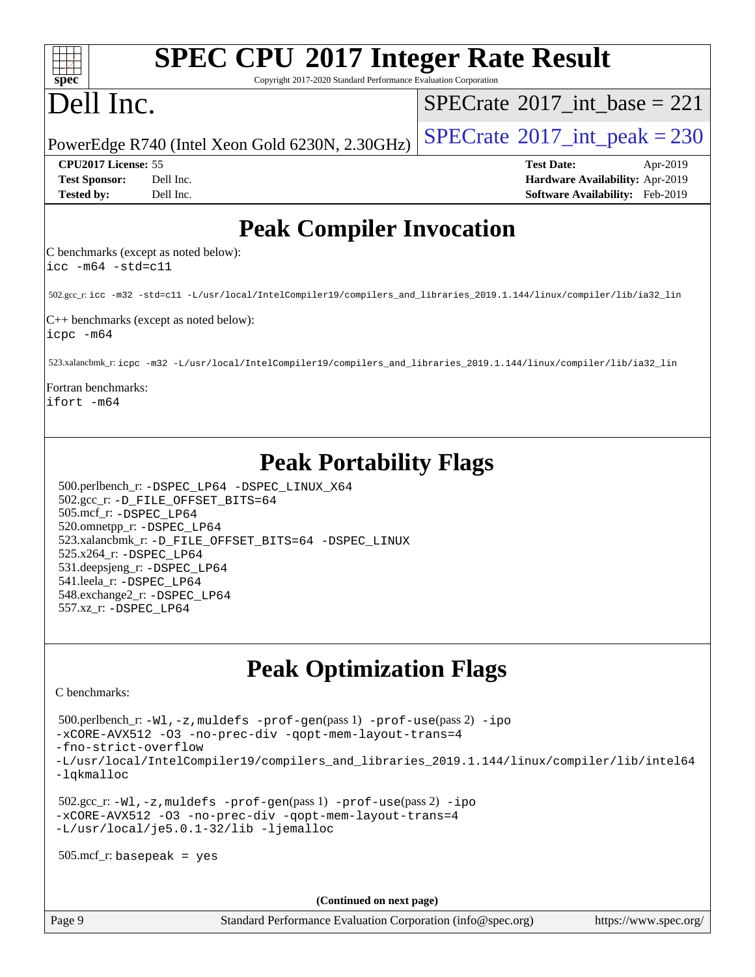| <b>SPEC CPU®2017 Integer Rate Result</b>                        |  |
|-----------------------------------------------------------------|--|
| Copyright 2017-2020 Standard Performance Evaluation Corporation |  |

## Dell Inc.

**[spec](http://www.spec.org/)**

 $SPECTate$ <sup>®</sup>[2017\\_int\\_base =](http://www.spec.org/auto/cpu2017/Docs/result-fields.html#SPECrate2017intbase) 221

PowerEdge R740 (Intel Xeon Gold 6230N, 2.30GHz)  $\left|$  [SPECrate](http://www.spec.org/auto/cpu2017/Docs/result-fields.html#SPECrate2017intpeak)<sup>®</sup>[2017\\_int\\_peak = 2](http://www.spec.org/auto/cpu2017/Docs/result-fields.html#SPECrate2017intpeak)30

**[CPU2017 License:](http://www.spec.org/auto/cpu2017/Docs/result-fields.html#CPU2017License)** 55 **[Test Date:](http://www.spec.org/auto/cpu2017/Docs/result-fields.html#TestDate)** Apr-2019 **[Test Sponsor:](http://www.spec.org/auto/cpu2017/Docs/result-fields.html#TestSponsor)** Dell Inc. **[Hardware Availability:](http://www.spec.org/auto/cpu2017/Docs/result-fields.html#HardwareAvailability)** Apr-2019 **[Tested by:](http://www.spec.org/auto/cpu2017/Docs/result-fields.html#Testedby)** Dell Inc. **[Software Availability:](http://www.spec.org/auto/cpu2017/Docs/result-fields.html#SoftwareAvailability)** Feb-2019

## **[Peak Compiler Invocation](http://www.spec.org/auto/cpu2017/Docs/result-fields.html#PeakCompilerInvocation)**

[C benchmarks \(except as noted below\):](http://www.spec.org/auto/cpu2017/Docs/result-fields.html#Cbenchmarksexceptasnotedbelow) [icc -m64 -std=c11](http://www.spec.org/cpu2017/results/res2019q3/cpu2017-20190805-16529.flags.html#user_CCpeak_intel_icc_64bit_c11_33ee0cdaae7deeeab2a9725423ba97205ce30f63b9926c2519791662299b76a0318f32ddfffdc46587804de3178b4f9328c46fa7c2b0cd779d7a61945c91cd35)

502.gcc\_r: [icc -m32 -std=c11 -L/usr/local/IntelCompiler19/compilers\\_and\\_libraries\\_2019.1.144/linux/compiler/lib/ia32\\_lin](http://www.spec.org/cpu2017/results/res2019q3/cpu2017-20190805-16529.flags.html#user_peakCCLD502_gcc_r_intel_icc_40453ff6bf9521e1d4c2d3e2fb99253a88fa516366d57fe908127cec2d2803e1a519020f7199618d366f5331d17d60a40bdca38a56a807895183dcecb671b0e5)

[C++ benchmarks \(except as noted below\):](http://www.spec.org/auto/cpu2017/Docs/result-fields.html#CXXbenchmarksexceptasnotedbelow) [icpc -m64](http://www.spec.org/cpu2017/results/res2019q3/cpu2017-20190805-16529.flags.html#user_CXXpeak_intel_icpc_64bit_4ecb2543ae3f1412ef961e0650ca070fec7b7afdcd6ed48761b84423119d1bf6bdf5cad15b44d48e7256388bc77273b966e5eb805aefd121eb22e9299b2ec9d9)

523.xalancbmk\_r: [icpc -m32 -L/usr/local/IntelCompiler19/compilers\\_and\\_libraries\\_2019.1.144/linux/compiler/lib/ia32\\_lin](http://www.spec.org/cpu2017/results/res2019q3/cpu2017-20190805-16529.flags.html#user_peakCXXLD523_xalancbmk_r_intel_icpc_da1545662a59c569b62a27824af614167f9a0289efc0155d279b219af3bd2ccb3c10a77eb36bcb264d681e48d9166bbcec9d21ef2c85e5a63a687a8887ddded7)

#### [Fortran benchmarks](http://www.spec.org/auto/cpu2017/Docs/result-fields.html#Fortranbenchmarks): [ifort -m64](http://www.spec.org/cpu2017/results/res2019q3/cpu2017-20190805-16529.flags.html#user_FCpeak_intel_ifort_64bit_24f2bb282fbaeffd6157abe4f878425411749daecae9a33200eee2bee2fe76f3b89351d69a8130dd5949958ce389cf37ff59a95e7a40d588e8d3a57e0c3fd751)

## **[Peak Portability Flags](http://www.spec.org/auto/cpu2017/Docs/result-fields.html#PeakPortabilityFlags)**

 500.perlbench\_r: [-DSPEC\\_LP64](http://www.spec.org/cpu2017/results/res2019q3/cpu2017-20190805-16529.flags.html#b500.perlbench_r_peakPORTABILITY_DSPEC_LP64) [-DSPEC\\_LINUX\\_X64](http://www.spec.org/cpu2017/results/res2019q3/cpu2017-20190805-16529.flags.html#b500.perlbench_r_peakCPORTABILITY_DSPEC_LINUX_X64) 502.gcc\_r: [-D\\_FILE\\_OFFSET\\_BITS=64](http://www.spec.org/cpu2017/results/res2019q3/cpu2017-20190805-16529.flags.html#user_peakPORTABILITY502_gcc_r_file_offset_bits_64_5ae949a99b284ddf4e95728d47cb0843d81b2eb0e18bdfe74bbf0f61d0b064f4bda2f10ea5eb90e1dcab0e84dbc592acfc5018bc955c18609f94ddb8d550002c) 505.mcf\_r: [-DSPEC\\_LP64](http://www.spec.org/cpu2017/results/res2019q3/cpu2017-20190805-16529.flags.html#suite_peakPORTABILITY505_mcf_r_DSPEC_LP64) 520.omnetpp\_r: [-DSPEC\\_LP64](http://www.spec.org/cpu2017/results/res2019q3/cpu2017-20190805-16529.flags.html#suite_peakPORTABILITY520_omnetpp_r_DSPEC_LP64) 523.xalancbmk\_r: [-D\\_FILE\\_OFFSET\\_BITS=64](http://www.spec.org/cpu2017/results/res2019q3/cpu2017-20190805-16529.flags.html#user_peakPORTABILITY523_xalancbmk_r_file_offset_bits_64_5ae949a99b284ddf4e95728d47cb0843d81b2eb0e18bdfe74bbf0f61d0b064f4bda2f10ea5eb90e1dcab0e84dbc592acfc5018bc955c18609f94ddb8d550002c) [-DSPEC\\_LINUX](http://www.spec.org/cpu2017/results/res2019q3/cpu2017-20190805-16529.flags.html#b523.xalancbmk_r_peakCXXPORTABILITY_DSPEC_LINUX) 525.x264\_r: [-DSPEC\\_LP64](http://www.spec.org/cpu2017/results/res2019q3/cpu2017-20190805-16529.flags.html#suite_peakPORTABILITY525_x264_r_DSPEC_LP64) 531.deepsjeng\_r: [-DSPEC\\_LP64](http://www.spec.org/cpu2017/results/res2019q3/cpu2017-20190805-16529.flags.html#suite_peakPORTABILITY531_deepsjeng_r_DSPEC_LP64) 541.leela\_r: [-DSPEC\\_LP64](http://www.spec.org/cpu2017/results/res2019q3/cpu2017-20190805-16529.flags.html#suite_peakPORTABILITY541_leela_r_DSPEC_LP64) 548.exchange2\_r: [-DSPEC\\_LP64](http://www.spec.org/cpu2017/results/res2019q3/cpu2017-20190805-16529.flags.html#suite_peakPORTABILITY548_exchange2_r_DSPEC_LP64) 557.xz\_r: [-DSPEC\\_LP64](http://www.spec.org/cpu2017/results/res2019q3/cpu2017-20190805-16529.flags.html#suite_peakPORTABILITY557_xz_r_DSPEC_LP64)

## **[Peak Optimization Flags](http://www.spec.org/auto/cpu2017/Docs/result-fields.html#PeakOptimizationFlags)**

[C benchmarks](http://www.spec.org/auto/cpu2017/Docs/result-fields.html#Cbenchmarks):

 500.perlbench\_r: [-Wl,-z,muldefs](http://www.spec.org/cpu2017/results/res2019q3/cpu2017-20190805-16529.flags.html#user_peakEXTRA_LDFLAGS500_perlbench_r_link_force_multiple1_b4cbdb97b34bdee9ceefcfe54f4c8ea74255f0b02a4b23e853cdb0e18eb4525ac79b5a88067c842dd0ee6996c24547a27a4b99331201badda8798ef8a743f577) [-prof-gen](http://www.spec.org/cpu2017/results/res2019q3/cpu2017-20190805-16529.flags.html#user_peakPASS1_CFLAGSPASS1_LDFLAGS500_perlbench_r_prof_gen_5aa4926d6013ddb2a31985c654b3eb18169fc0c6952a63635c234f711e6e63dd76e94ad52365559451ec499a2cdb89e4dc58ba4c67ef54ca681ffbe1461d6b36)(pass 1) [-prof-use](http://www.spec.org/cpu2017/results/res2019q3/cpu2017-20190805-16529.flags.html#user_peakPASS2_CFLAGSPASS2_LDFLAGS500_perlbench_r_prof_use_1a21ceae95f36a2b53c25747139a6c16ca95bd9def2a207b4f0849963b97e94f5260e30a0c64f4bb623698870e679ca08317ef8150905d41bd88c6f78df73f19)(pass 2) [-ipo](http://www.spec.org/cpu2017/results/res2019q3/cpu2017-20190805-16529.flags.html#user_peakPASS1_COPTIMIZEPASS2_COPTIMIZE500_perlbench_r_f-ipo) [-xCORE-AVX512](http://www.spec.org/cpu2017/results/res2019q3/cpu2017-20190805-16529.flags.html#user_peakPASS2_COPTIMIZE500_perlbench_r_f-xCORE-AVX512) [-O3](http://www.spec.org/cpu2017/results/res2019q3/cpu2017-20190805-16529.flags.html#user_peakPASS1_COPTIMIZEPASS2_COPTIMIZE500_perlbench_r_f-O3) [-no-prec-div](http://www.spec.org/cpu2017/results/res2019q3/cpu2017-20190805-16529.flags.html#user_peakPASS1_COPTIMIZEPASS2_COPTIMIZE500_perlbench_r_f-no-prec-div) [-qopt-mem-layout-trans=4](http://www.spec.org/cpu2017/results/res2019q3/cpu2017-20190805-16529.flags.html#user_peakPASS1_COPTIMIZEPASS2_COPTIMIZE500_perlbench_r_f-qopt-mem-layout-trans_fa39e755916c150a61361b7846f310bcdf6f04e385ef281cadf3647acec3f0ae266d1a1d22d972a7087a248fd4e6ca390a3634700869573d231a252c784941a8) [-fno-strict-overflow](http://www.spec.org/cpu2017/results/res2019q3/cpu2017-20190805-16529.flags.html#user_peakEXTRA_OPTIMIZE500_perlbench_r_f-fno-strict-overflow) [-L/usr/local/IntelCompiler19/compilers\\_and\\_libraries\\_2019.1.144/linux/compiler/lib/intel64](http://www.spec.org/cpu2017/results/res2019q3/cpu2017-20190805-16529.flags.html#user_peakEXTRA_LIBS500_perlbench_r_qkmalloc_link_f25da0aa8cf9bced0533715046f0c2fbfb1a7191e3e496916672e09b4c388a884c4c7e4862cb529343da2264b43416df65c99fd1ddbf5dd13ae6d3130cf47881) [-lqkmalloc](http://www.spec.org/cpu2017/results/res2019q3/cpu2017-20190805-16529.flags.html#user_peakEXTRA_LIBS500_perlbench_r_qkmalloc_link_lib_79a818439969f771c6bc311cfd333c00fc099dad35c030f5aab9dda831713d2015205805422f83de8875488a2991c0a156aaa600e1f9138f8fc37004abc96dc5) 502.gcc\_r: [-Wl,-z,muldefs](http://www.spec.org/cpu2017/results/res2019q3/cpu2017-20190805-16529.flags.html#user_peakEXTRA_LDFLAGS502_gcc_r_link_force_multiple1_b4cbdb97b34bdee9ceefcfe54f4c8ea74255f0b02a4b23e853cdb0e18eb4525ac79b5a88067c842dd0ee6996c24547a27a4b99331201badda8798ef8a743f577) [-prof-gen](http://www.spec.org/cpu2017/results/res2019q3/cpu2017-20190805-16529.flags.html#user_peakPASS1_CFLAGSPASS1_LDFLAGS502_gcc_r_prof_gen_5aa4926d6013ddb2a31985c654b3eb18169fc0c6952a63635c234f711e6e63dd76e94ad52365559451ec499a2cdb89e4dc58ba4c67ef54ca681ffbe1461d6b36)(pass 1) [-prof-use](http://www.spec.org/cpu2017/results/res2019q3/cpu2017-20190805-16529.flags.html#user_peakPASS2_CFLAGSPASS2_LDFLAGS502_gcc_r_prof_use_1a21ceae95f36a2b53c25747139a6c16ca95bd9def2a207b4f0849963b97e94f5260e30a0c64f4bb623698870e679ca08317ef8150905d41bd88c6f78df73f19)(pass 2) [-ipo](http://www.spec.org/cpu2017/results/res2019q3/cpu2017-20190805-16529.flags.html#user_peakPASS1_COPTIMIZEPASS2_COPTIMIZE502_gcc_r_f-ipo)

```
-xCORE-AVX512 -O3 -no-prec-div -qopt-mem-layout-trans=4
-L/usr/local/je5.0.1-32/lib -ljemalloc
```
505.mcf\_r: basepeak = yes

**(Continued on next page)**